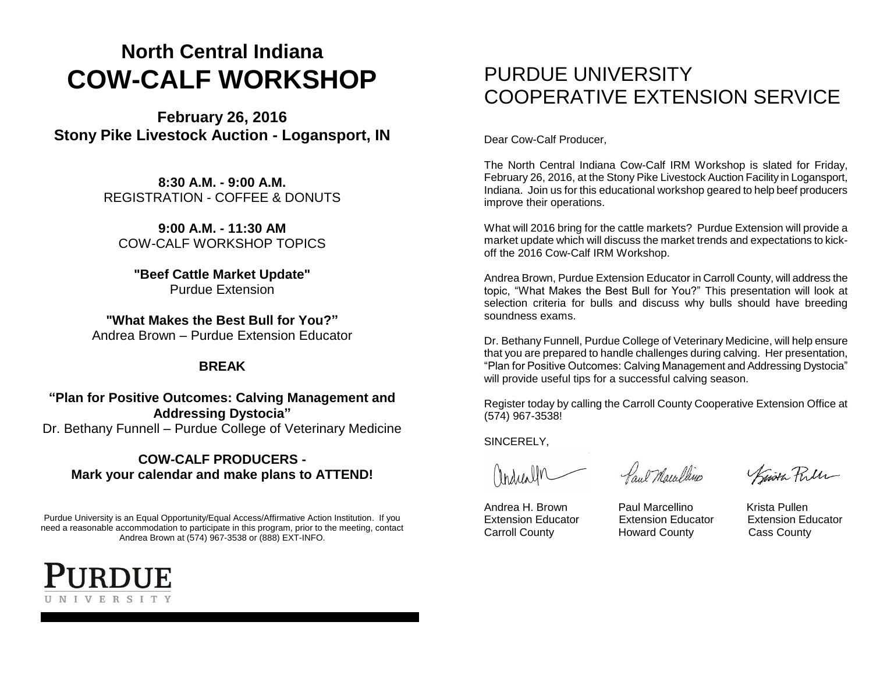## **North Central Indiana COW-CALF WORKSHOP**

**February 26, 2016 Stony Pike Livestock Auction - Logansport, IN**

> **8:30 A.M. - 9:00 A.M.** REGISTRATION - COFFEE & DONUTS

**9:00 A.M. - 11:30 AM** COW-CALF WORKSHOP TOPICS

**"Beef Cattle Market Update"** Purdue Extension

**"What Makes the Best Bull for You?"** Andrea Brown – Purdue Extension Educator

#### **BREAK**

**"Plan for Positive Outcomes: Calving Management and Addressing Dystocia"** Dr. Bethany Funnell – Purdue College of Veterinary Medicine

#### **COW-CALF PRODUCERS - Mark your calendar and make plans to ATTEND!**

Purdue University is an Equal Opportunity/Equal Access/Affirmative Action Institution. If you need a reasonable accommodation to participate in this program, prior to the meeting, contact Andrea Brown at (574) 967-3538 or (888) EXT-INFO.



### PURDUE UNIVERSITY COOPERATIVE EXTENSION SERVICE

Dear Cow-Calf Producer,

The North Central Indiana Cow-Calf IRM Workshop is slated for Friday, February 26, 2016, at the Stony Pike Livestock Auction Facility in Logansport, Indiana. Join us for this educational workshop geared to help beef producers improve their operations.

What will 2016 bring for the cattle markets? Purdue Extension will provide a market update which will discuss the market trends and expectations to kickoff the 2016 Cow-Calf IRM Workshop.

Andrea Brown, Purdue Extension Educator in Carroll County, will address the topic, "What Makes the Best Bull for You?" This presentation will look at selection criteria for bulls and discuss why bulls should have breeding soundness exams.

Dr. Bethany Funnell, Purdue College of Veterinary Medicine, will help ensure that you are prepared to handle challenges during calving. Her presentation, "Plan for Positive Outcomes: Calving Management and Addressing Dystocia" will provide useful tips for a successful calving season.

Register today by calling the Carroll County Cooperative Extension Office at (574) 967-3538!

SINCERELY,

Marcalle

Paul Macalline

Kusta Pulle

Andrea H. Brown **Paul Marcellino** Krista Pullen Extension Educator Extension Educator Extension Educator Carroll County Howard County Cass County